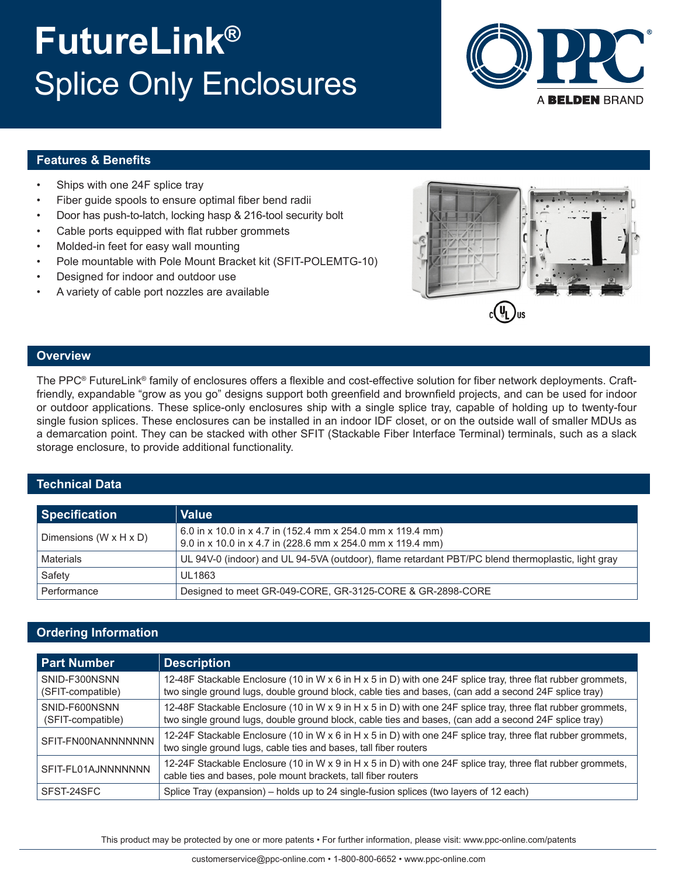# **FutureLink®** Splice Only Enclosures



### **Features & Benefits**

- Ships with one 24F splice tray
- Fiber guide spools to ensure optimal fiber bend radii
- Door has push-to-latch, locking hasp & 216-tool security bolt
- Cable ports equipped with flat rubber grommets
- Molded-in feet for easy wall mounting
- Pole mountable with Pole Mount Bracket kit (SFIT-POLEMTG-10)
- Designed for indoor and outdoor use
- A variety of cable port nozzles are available



#### **Overview**

The PPC® FutureLink® family of enclosures offers a flexible and cost-effective solution for fiber network deployments. Craftfriendly, expandable "grow as you go" designs support both greenfield and brownfield projects, and can be used for indoor or outdoor applications. These splice-only enclosures ship with a single splice tray, capable of holding up to twenty-four single fusion splices. These enclosures can be installed in an indoor IDF closet, or on the outside wall of smaller MDUs as a demarcation point. They can be stacked with other SFIT (Stackable Fiber Interface Terminal) terminals, such as a slack storage enclosure, to provide additional functionality.

### **Technical Data**

| <b>Specification</b>               | <b>Value</b>                                                                                                             |
|------------------------------------|--------------------------------------------------------------------------------------------------------------------------|
| Dimensions $(W \times H \times D)$ | 6.0 in x 10.0 in x 4.7 in (152.4 mm x 254.0 mm x 119.4 mm)<br>9.0 in x 10.0 in x 4.7 in (228.6 mm x 254.0 mm x 119.4 mm) |
| Materials                          | UL 94V-0 (indoor) and UL 94-5VA (outdoor), flame retardant PBT/PC blend thermoplastic, light gray                        |
| Safety                             | <b>UL1863</b>                                                                                                            |
| Performance                        | Designed to meet GR-049-CORE, GR-3125-CORE & GR-2898-CORE                                                                |

## **Ordering Information**

| <b>Part Number</b>                 | <b>Description</b>                                                                                                                                                                                                    |
|------------------------------------|-----------------------------------------------------------------------------------------------------------------------------------------------------------------------------------------------------------------------|
| SNID-F300NSNN<br>(SFIT-compatible) | 12-48F Stackable Enclosure (10 in W x 6 in H x 5 in D) with one 24F splice tray, three flat rubber grommets,<br>two single ground lugs, double ground block, cable ties and bases, (can add a second 24F splice tray) |
| SNID-F600NSNN<br>(SFIT-compatible) | 12-48F Stackable Enclosure (10 in W x 9 in H x 5 in D) with one 24F splice tray, three flat rubber grommets,<br>two single ground lugs, double ground block, cable ties and bases, (can add a second 24F splice tray) |
| SFIT-FN00NANNNNNNN                 | 12-24F Stackable Enclosure (10 in W x 6 in H x 5 in D) with one 24F splice tray, three flat rubber grommets,<br>two single ground lugs, cable ties and bases, tall fiber routers                                      |
| SFIT-FL01AJNNNNNNN                 | 12-24F Stackable Enclosure (10 in W x 9 in H x 5 in D) with one 24F splice tray, three flat rubber grommets,<br>cable ties and bases, pole mount brackets, tall fiber routers                                         |
| SFST-24SFC                         | Splice Tray (expansion) – holds up to 24 single-fusion splices (two layers of 12 each)                                                                                                                                |

This product may be protected by one or more patents • For further information, please visit: www.ppc-online.com/patents